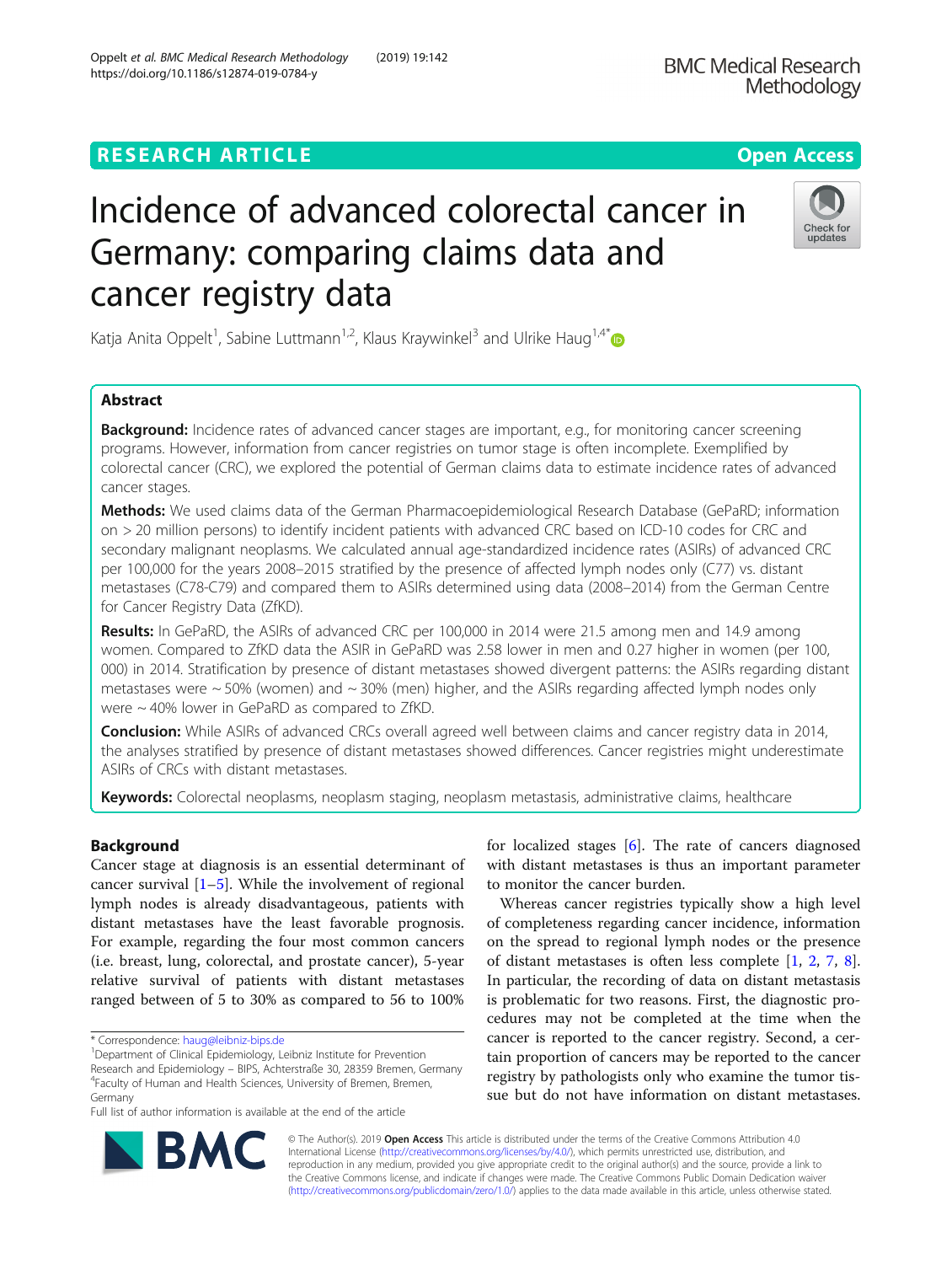## **RESEARCH ARTICLE Example 2014 12:30 The Contract of Contract ACCESS**

# Incidence of advanced colorectal cancer in Germany: comparing claims data and cancer registry data

Katja Anita Oppelt<sup>1</sup>, Sabine Luttmann<sup>1,2</sup>, Klaus Kraywinkel<sup>3</sup> and Ulrike Haug<sup>1,4[\\*](http://orcid.org/0000-0002-1886-2923)</sup>

## Abstract

**Background:** Incidence rates of advanced cancer stages are important, e.g., for monitoring cancer screening programs. However, information from cancer registries on tumor stage is often incomplete. Exemplified by colorectal cancer (CRC), we explored the potential of German claims data to estimate incidence rates of advanced cancer stages.

Methods: We used claims data of the German Pharmacoepidemiological Research Database (GePaRD; information on > 20 million persons) to identify incident patients with advanced CRC based on ICD-10 codes for CRC and secondary malignant neoplasms. We calculated annual age-standardized incidence rates (ASIRs) of advanced CRC per 100,000 for the years 2008–2015 stratified by the presence of affected lymph nodes only (C77) vs. distant metastases (C78-C79) and compared them to ASIRs determined using data (2008–2014) from the German Centre for Cancer Registry Data (ZfKD).

Results: In GePaRD, the ASIRs of advanced CRC per 100,000 in 2014 were 21.5 among men and 14.9 among women. Compared to ZfKD data the ASIR in GePaRD was 2.58 lower in men and 0.27 higher in women (per 100, 000) in 2014. Stratification by presence of distant metastases showed divergent patterns: the ASIRs regarding distant metastases were ~ 50% (women) and ~ 30% (men) higher, and the ASIRs regarding affected lymph nodes only were ~ 40% lower in GePaRD as compared to ZfKD.

Conclusion: While ASIRs of advanced CRCs overall agreed well between claims and cancer registry data in 2014, the analyses stratified by presence of distant metastases showed differences. Cancer registries might underestimate ASIRs of CRCs with distant metastases.

Keywords: Colorectal neoplasms, neoplasm staging, neoplasm metastasis, administrative claims, healthcare

## Background

Cancer stage at diagnosis is an essential determinant of cancer survival  $[1–5]$  $[1–5]$  $[1–5]$  $[1–5]$  $[1–5]$ . While the involvement of regional lymph nodes is already disadvantageous, patients with distant metastases have the least favorable prognosis. For example, regarding the four most common cancers (i.e. breast, lung, colorectal, and prostate cancer), 5-year relative survival of patients with distant metastases ranged between of 5 to 30% as compared to 56 to 100%

\* Correspondence: [haug@leibniz-bips.de](mailto:haug@leibniz-bips.de) <sup>1</sup>

<sup>1</sup>Department of Clinical Epidemiology, Leibniz Institute for Prevention Research and Epidemiology – BIPS, Achterstraße 30, 28359 Bremen, Germany <sup>4</sup> <sup>4</sup>Faculty of Human and Health Sciences, University of Bremen, Bremen, Germany

Full list of author information is available at the end of the article

for localized stages [[6](#page-8-0)]. The rate of cancers diagnosed with distant metastases is thus an important parameter to monitor the cancer burden.

Whereas cancer registries typically show a high level of completeness regarding cancer incidence, information on the spread to regional lymph nodes or the presence of distant metastases is often less complete [[1,](#page-8-0) [2](#page-8-0), [7](#page-8-0), [8](#page-8-0)]. In particular, the recording of data on distant metastasis is problematic for two reasons. First, the diagnostic procedures may not be completed at the time when the cancer is reported to the cancer registry. Second, a certain proportion of cancers may be reported to the cancer registry by pathologists only who examine the tumor tissue but do not have information on distant metastases.



© The Author(s). 2019 **Open Access** This article is distributed under the terms of the Creative Commons Attribution 4.0 International License [\(http://creativecommons.org/licenses/by/4.0/](http://creativecommons.org/licenses/by/4.0/)), which permits unrestricted use, distribution, and reproduction in any medium, provided you give appropriate credit to the original author(s) and the source, provide a link to the Creative Commons license, and indicate if changes were made. The Creative Commons Public Domain Dedication waiver [\(http://creativecommons.org/publicdomain/zero/1.0/](http://creativecommons.org/publicdomain/zero/1.0/)) applies to the data made available in this article, unless otherwise stated.



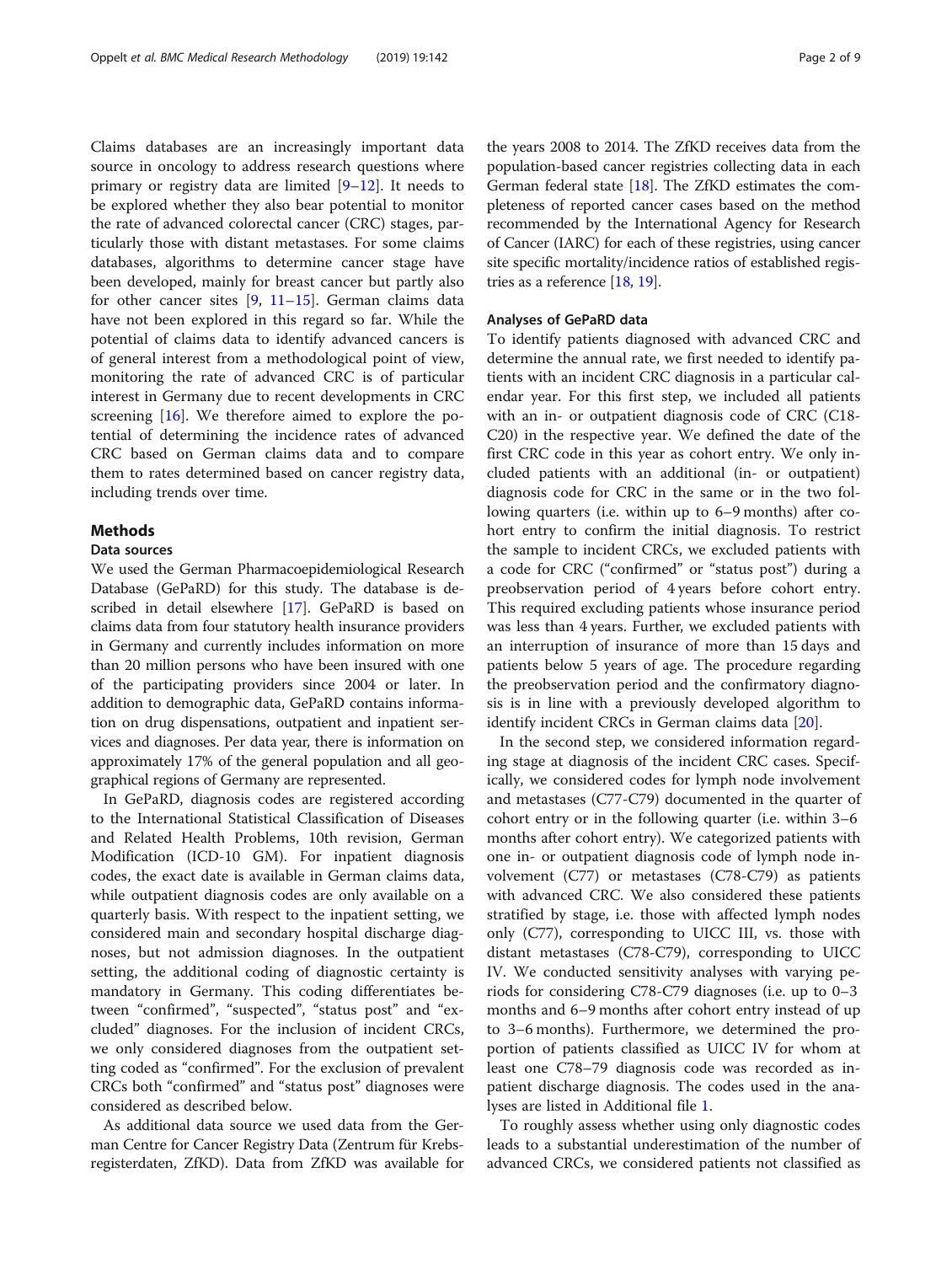Claims databases are an increasingly important data source in oncology to address research questions where primary or registry data are limited [\[9](#page-8-0)–[12\]](#page-8-0). It needs to be explored whether they also bear potential to monitor the rate of advanced colorectal cancer (CRC) stages, particularly those with distant metastases. For some claims databases, algorithms to determine cancer stage have been developed, mainly for breast cancer but partly also for other cancer sites  $[9, 11-15]$  $[9, 11-15]$  $[9, 11-15]$  $[9, 11-15]$  $[9, 11-15]$  $[9, 11-15]$  $[9, 11-15]$ . German claims data have not been explored in this regard so far. While the potential of claims data to identify advanced cancers is of general interest from a methodological point of view, monitoring the rate of advanced CRC is of particular interest in Germany due to recent developments in CRC screening  $[16]$ . We therefore aimed to explore the potential of determining the incidence rates of advanced CRC based on German claims data and to compare them to rates determined based on cancer registry data, including trends over time.

## Methods

## Data sources

We used the German Pharmacoepidemiological Research Database (GePaRD) for this study. The database is described in detail elsewhere [[17](#page-8-0)]. GePaRD is based on claims data from four statutory health insurance providers in Germany and currently includes information on more than 20 million persons who have been insured with one of the participating providers since 2004 or later. In addition to demographic data, GePaRD contains information on drug dispensations, outpatient and inpatient services and diagnoses. Per data year, there is information on approximately 17% of the general population and all geographical regions of Germany are represented.

In GePaRD, diagnosis codes are registered according to the International Statistical Classification of Diseases and Related Health Problems, 10th revision, German Modification (ICD-10 GM). For inpatient diagnosis codes, the exact date is available in German claims data, while outpatient diagnosis codes are only available on a quarterly basis. With respect to the inpatient setting, we considered main and secondary hospital discharge diagnoses, but not admission diagnoses. In the outpatient setting, the additional coding of diagnostic certainty is mandatory in Germany. This coding differentiates between "confirmed", "suspected", "status post" and "excluded" diagnoses. For the inclusion of incident CRCs, we only considered diagnoses from the outpatient setting coded as "confirmed". For the exclusion of prevalent CRCs both "confirmed" and "status post" diagnoses were considered as described below.

As additional data source we used data from the German Centre for Cancer Registry Data (Zentrum für Krebsregisterdaten, ZfKD). Data from ZfKD was available for the years 2008 to 2014. The ZfKD receives data from the population-based cancer registries collecting data in each German federal state [[18](#page-8-0)]. The ZfKD estimates the completeness of reported cancer cases based on the method recommended by the International Agency for Research of Cancer (IARC) for each of these registries, using cancer site specific mortality/incidence ratios of established registries as a reference [[18](#page-8-0), [19\]](#page-8-0).

## Analyses of GePaRD data

To identify patients diagnosed with advanced CRC and determine the annual rate, we first needed to identify patients with an incident CRC diagnosis in a particular calendar year. For this first step, we included all patients with an in- or outpatient diagnosis code of CRC (C18- C20) in the respective year. We defined the date of the first CRC code in this year as cohort entry. We only included patients with an additional (in- or outpatient) diagnosis code for CRC in the same or in the two following quarters (i.e. within up to 6–9 months) after cohort entry to confirm the initial diagnosis. To restrict the sample to incident CRCs, we excluded patients with a code for CRC ("confirmed" or "status post") during a preobservation period of 4 years before cohort entry. This required excluding patients whose insurance period was less than 4 years. Further, we excluded patients with an interruption of insurance of more than 15 days and patients below 5 years of age. The procedure regarding the preobservation period and the confirmatory diagnosis is in line with a previously developed algorithm to identify incident CRCs in German claims data [[20](#page-8-0)].

In the second step, we considered information regarding stage at diagnosis of the incident CRC cases. Specifically, we considered codes for lymph node involvement and metastases (C77-C79) documented in the quarter of cohort entry or in the following quarter (i.e. within 3–6 months after cohort entry). We categorized patients with one in- or outpatient diagnosis code of lymph node involvement (C77) or metastases (C78-C79) as patients with advanced CRC. We also considered these patients stratified by stage, i.e. those with affected lymph nodes only (C77), corresponding to UICC III, vs. those with distant metastases (C78-C79), corresponding to UICC IV. We conducted sensitivity analyses with varying periods for considering C78-C79 diagnoses (i.e. up to 0–3 months and 6–9 months after cohort entry instead of up to 3–6 months). Furthermore, we determined the proportion of patients classified as UICC IV for whom at least one C78–79 diagnosis code was recorded as inpatient discharge diagnosis. The codes used in the analyses are listed in Additional file [1.](#page-7-0)

To roughly assess whether using only diagnostic codes leads to a substantial underestimation of the number of advanced CRCs, we considered patients not classified as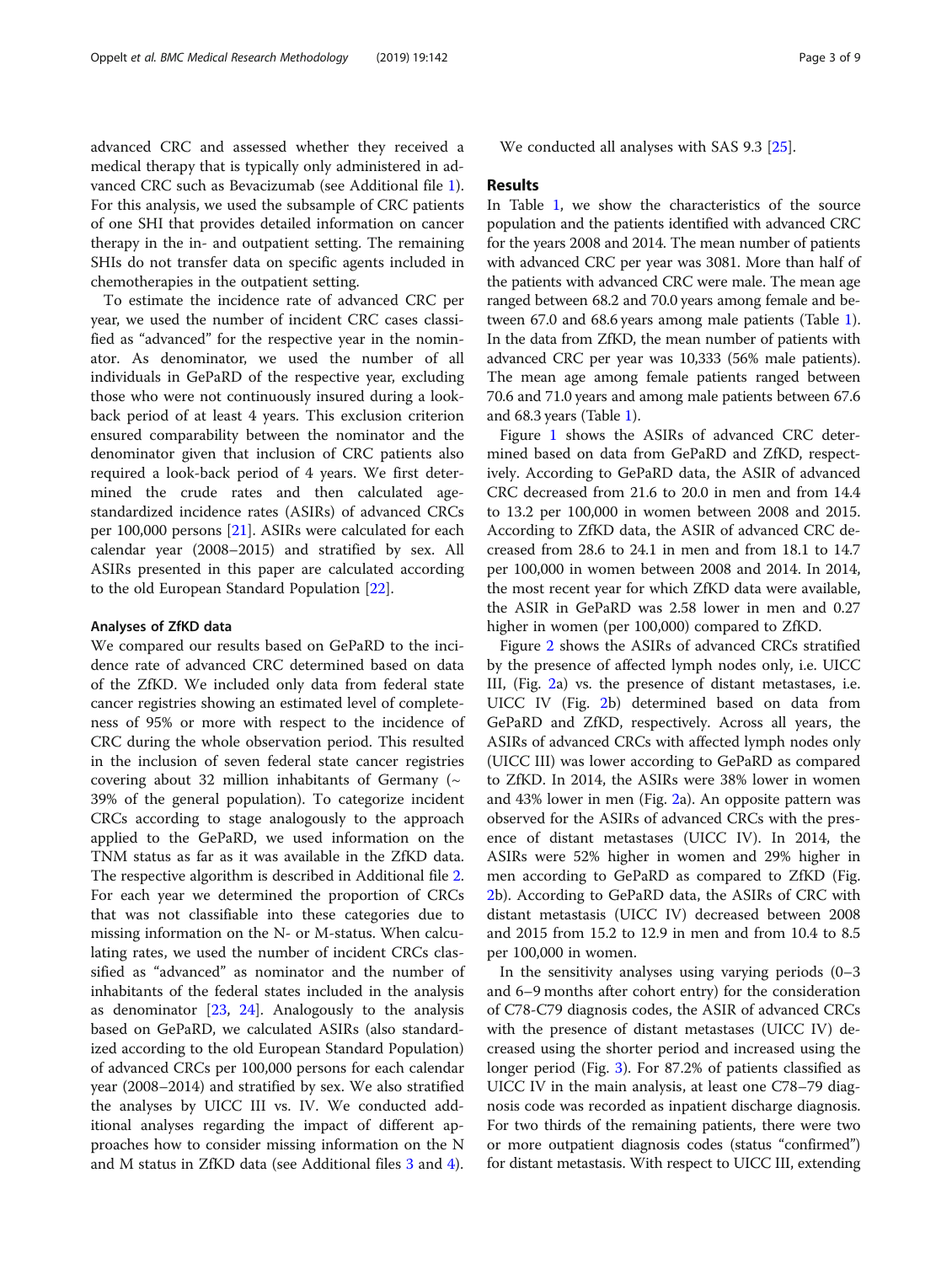advanced CRC and assessed whether they received a medical therapy that is typically only administered in advanced CRC such as Bevacizumab (see Additional file [1](#page-7-0)). For this analysis, we used the subsample of CRC patients of one SHI that provides detailed information on cancer therapy in the in- and outpatient setting. The remaining SHIs do not transfer data on specific agents included in chemotherapies in the outpatient setting.

To estimate the incidence rate of advanced CRC per year, we used the number of incident CRC cases classified as "advanced" for the respective year in the nominator. As denominator, we used the number of all individuals in GePaRD of the respective year, excluding those who were not continuously insured during a lookback period of at least 4 years. This exclusion criterion ensured comparability between the nominator and the denominator given that inclusion of CRC patients also required a look-back period of 4 years. We first determined the crude rates and then calculated agestandardized incidence rates (ASIRs) of advanced CRCs per 100,000 persons [[21\]](#page-8-0). ASIRs were calculated for each calendar year (2008–2015) and stratified by sex. All ASIRs presented in this paper are calculated according to the old European Standard Population [[22](#page-8-0)].

#### Analyses of ZfKD data

We compared our results based on GePaRD to the incidence rate of advanced CRC determined based on data of the ZfKD. We included only data from federal state cancer registries showing an estimated level of completeness of 95% or more with respect to the incidence of CRC during the whole observation period. This resulted in the inclusion of seven federal state cancer registries covering about 32 million inhabitants of Germany ( $\sim$ 39% of the general population). To categorize incident CRCs according to stage analogously to the approach applied to the GePaRD, we used information on the TNM status as far as it was available in the ZfKD data. The respective algorithm is described in Additional file [2](#page-7-0). For each year we determined the proportion of CRCs that was not classifiable into these categories due to missing information on the N- or M-status. When calculating rates, we used the number of incident CRCs classified as "advanced" as nominator and the number of inhabitants of the federal states included in the analysis as denominator  $[23, 24]$  $[23, 24]$  $[23, 24]$ . Analogously to the analysis based on GePaRD, we calculated ASIRs (also standardized according to the old European Standard Population) of advanced CRCs per 100,000 persons for each calendar year (2008–2014) and stratified by sex. We also stratified the analyses by UICC III vs. IV. We conducted additional analyses regarding the impact of different approaches how to consider missing information on the N and M status in ZfKD data (see Additional files [3](#page-7-0) and [4\)](#page-7-0). We conducted all analyses with SAS 9.3 [\[25\]](#page-8-0).

## Results

In Table [1,](#page-3-0) we show the characteristics of the source population and the patients identified with advanced CRC for the years 2008 and 2014. The mean number of patients with advanced CRC per year was 3081. More than half of the patients with advanced CRC were male. The mean age ranged between 68.2 and 70.0 years among female and between 67.0 and 68.6 years among male patients (Table [1](#page-3-0)). In the data from ZfKD, the mean number of patients with advanced CRC per year was 10,333 (56% male patients). The mean age among female patients ranged between 70.6 and 71.0 years and among male patients between 67.6 and 68.3 years (Table [1\)](#page-3-0).

Figure [1](#page-3-0) shows the ASIRs of advanced CRC determined based on data from GePaRD and ZfKD, respectively. According to GePaRD data, the ASIR of advanced CRC decreased from 21.6 to 20.0 in men and from 14.4 to 13.2 per 100,000 in women between 2008 and 2015. According to ZfKD data, the ASIR of advanced CRC decreased from 28.6 to 24.1 in men and from 18.1 to 14.7 per 100,000 in women between 2008 and 2014. In 2014, the most recent year for which ZfKD data were available, the ASIR in GePaRD was 2.58 lower in men and 0.27 higher in women (per 100,000) compared to ZfKD.

Figure [2](#page-4-0) shows the ASIRs of advanced CRCs stratified by the presence of affected lymph nodes only, i.e. UICC III, (Fig. [2](#page-4-0)a) vs. the presence of distant metastases, i.e. UICC IV (Fig. [2b](#page-4-0)) determined based on data from GePaRD and ZfKD, respectively. Across all years, the ASIRs of advanced CRCs with affected lymph nodes only (UICC III) was lower according to GePaRD as compared to ZfKD. In 2014, the ASIRs were 38% lower in women and 43% lower in men (Fig. [2](#page-4-0)a). An opposite pattern was observed for the ASIRs of advanced CRCs with the presence of distant metastases (UICC IV). In 2014, the ASIRs were 52% higher in women and 29% higher in men according to GePaRD as compared to ZfKD (Fig. [2b](#page-4-0)). According to GePaRD data, the ASIRs of CRC with distant metastasis (UICC IV) decreased between 2008 and 2015 from 15.2 to 12.9 in men and from 10.4 to 8.5 per 100,000 in women.

In the sensitivity analyses using varying periods  $(0-3)$ and 6–9 months after cohort entry) for the consideration of C78-C79 diagnosis codes, the ASIR of advanced CRCs with the presence of distant metastases (UICC IV) decreased using the shorter period and increased using the longer period (Fig. [3\)](#page-4-0). For 87.2% of patients classified as UICC IV in the main analysis, at least one C78–79 diagnosis code was recorded as inpatient discharge diagnosis. For two thirds of the remaining patients, there were two or more outpatient diagnosis codes (status "confirmed") for distant metastasis. With respect to UICC III, extending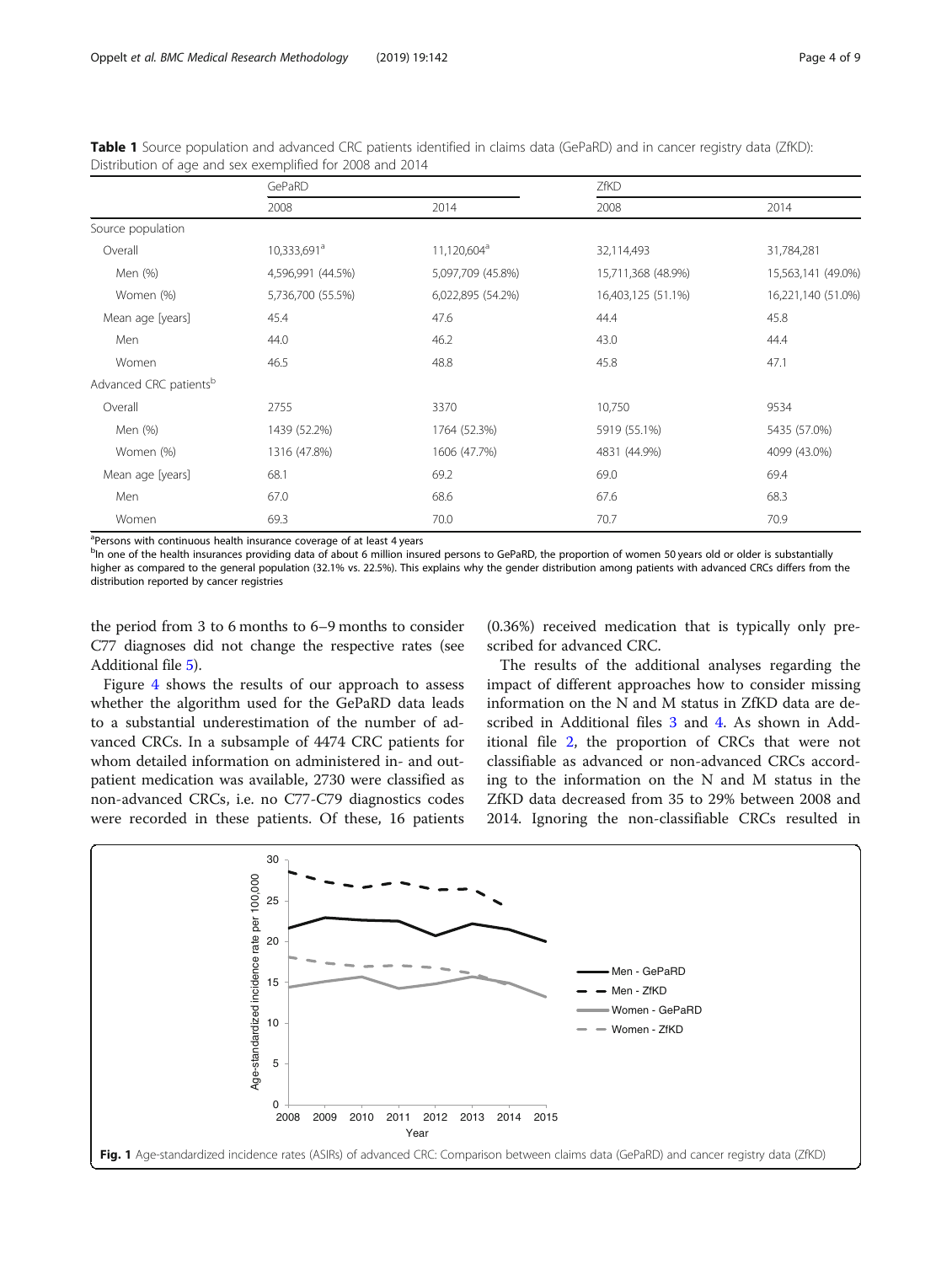<span id="page-3-0"></span>Table 1 Source population and advanced CRC patients identified in claims data (GePaRD) and in cancer registry data (ZfKD): Distribution of age and sex exemplified for 2008 and 2014

|                        | GePaRD                  |                         | ZfKD               |                    |
|------------------------|-------------------------|-------------------------|--------------------|--------------------|
|                        | 2008                    | 2014                    | 2008               | 2014               |
| Source population      |                         |                         |                    |                    |
| Overall                | 10,333,691 <sup>a</sup> | 11,120,604 <sup>a</sup> | 32,114,493         | 31,784,281         |
| Men (%)                | 4,596,991 (44.5%)       | 5,097,709 (45.8%)       | 15,711,368 (48.9%) | 15,563,141 (49.0%) |
| Women (%)              | 5,736,700 (55.5%)       | 6,022,895 (54.2%)       | 16,403,125 (51.1%) | 16,221,140 (51.0%) |
| Mean age [years]       | 45.4                    | 47.6                    | 44.4               | 45.8               |
| Men                    | 44.0                    | 46.2                    | 43.0               | 44.4               |
| Women                  | 46.5                    | 48.8                    | 45.8               | 47.1               |
| Advanced CRC patientsb |                         |                         |                    |                    |
| Overall                | 2755                    | 3370                    | 10,750             | 9534               |
| Men (%)                | 1439 (52.2%)            | 1764 (52.3%)            | 5919 (55.1%)       | 5435 (57.0%)       |
| Women (%)              | 1316 (47.8%)            | 1606 (47.7%)            | 4831 (44.9%)       | 4099 (43.0%)       |
| Mean age [years]       | 68.1                    | 69.2                    | 69.0               | 69.4               |
| Men                    | 67.0                    | 68.6                    | 67.6               | 68.3               |
| Women                  | 69.3                    | 70.0                    | 70.7               | 70.9               |

<sup>a</sup>Persons with continuous health insurance coverage of at least 4 years

b<sub>l</sub>n one of the health insurances providing data of about 6 million insured persons to GePaRD, the proportion of women 50 years old or older is substantially higher as compared to the general population (32.1% vs. 22.5%). This explains why the gender distribution among patients with advanced CRCs differs from the distribution reported by cancer registries

the period from 3 to 6 months to 6–9 months to consider C77 diagnoses did not change the respective rates (see Additional file [5](#page-7-0)).

(0.36%) received medication that is typically only prescribed for advanced CRC.

Figure [4](#page-5-0) shows the results of our approach to assess whether the algorithm used for the GePaRD data leads to a substantial underestimation of the number of advanced CRCs. In a subsample of 4474 CRC patients for whom detailed information on administered in- and outpatient medication was available, 2730 were classified as non-advanced CRCs, i.e. no C77-C79 diagnostics codes were recorded in these patients. Of these, 16 patients

The results of the additional analyses regarding the impact of different approaches how to consider missing information on the N and M status in ZfKD data are described in Additional files [3](#page-7-0) and [4.](#page-7-0) As shown in Additional file [2](#page-7-0), the proportion of CRCs that were not classifiable as advanced or non-advanced CRCs according to the information on the N and M status in the ZfKD data decreased from 35 to 29% between 2008 and 2014. Ignoring the non-classifiable CRCs resulted in

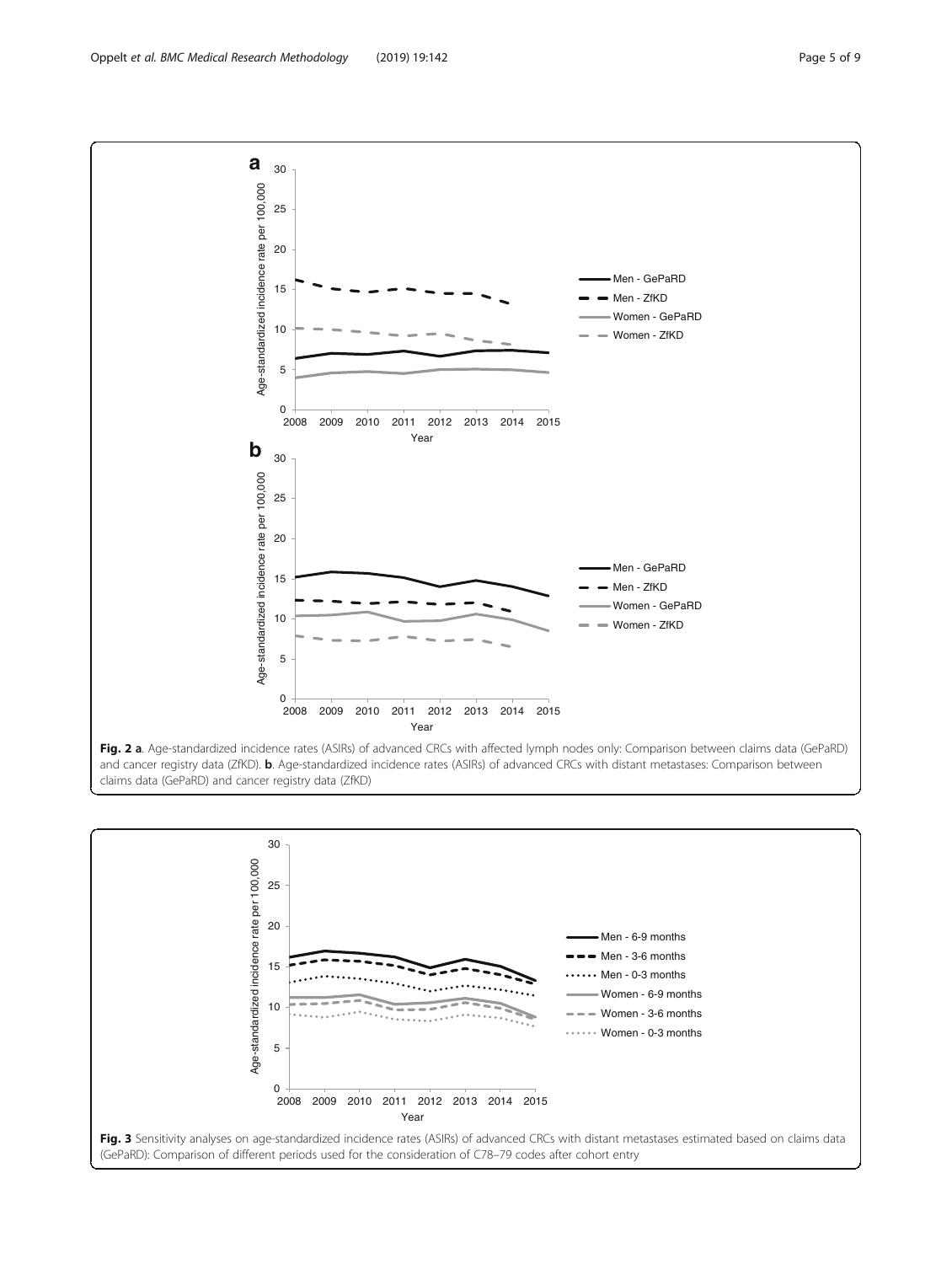<span id="page-4-0"></span>

claims data (GePaRD) and cancer registry data (ZfKD)

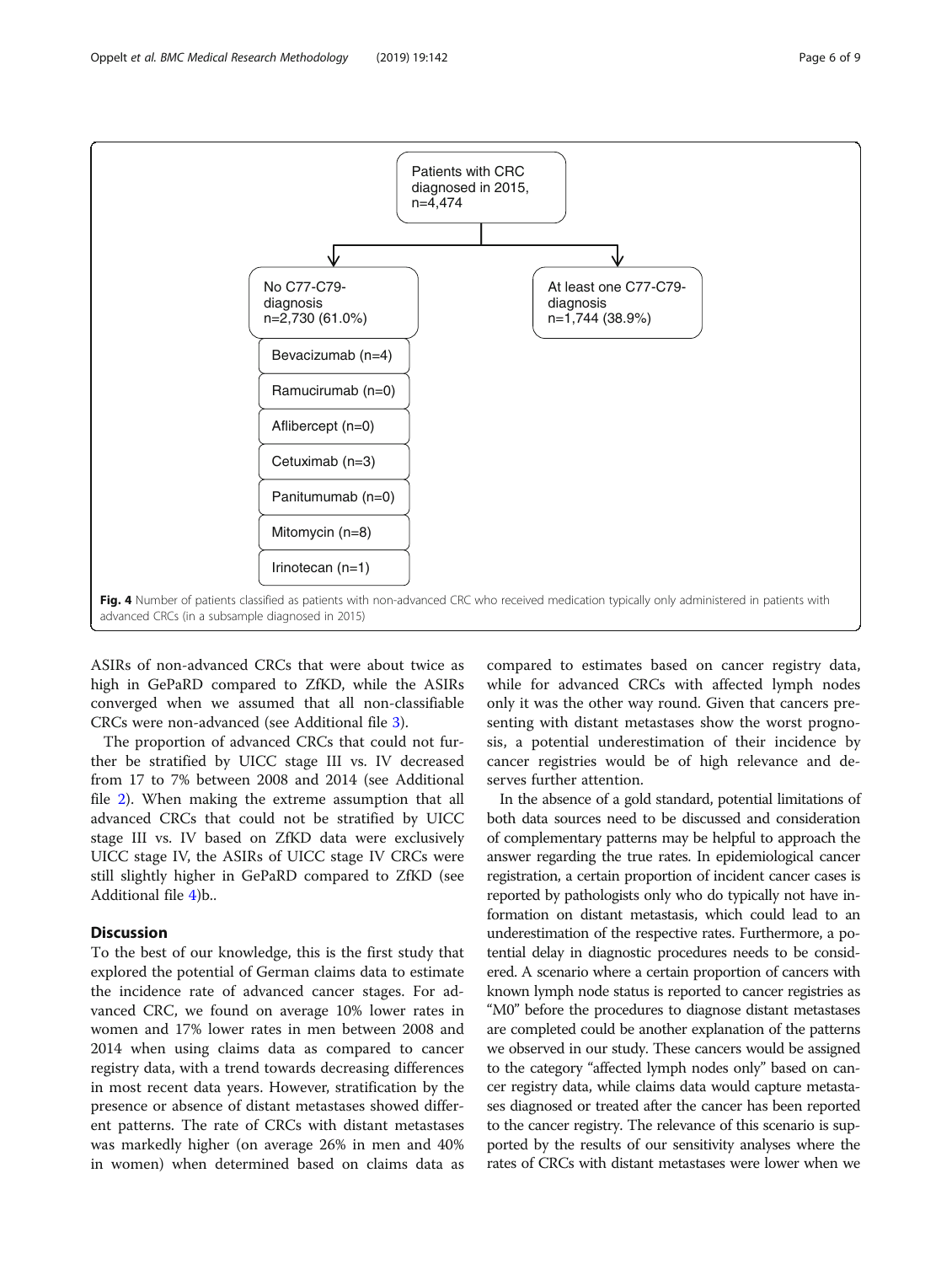<span id="page-5-0"></span>

ASIRs of non-advanced CRCs that were about twice as high in GePaRD compared to ZfKD, while the ASIRs converged when we assumed that all non-classifiable CRCs were non-advanced (see Additional file [3](#page-7-0)).

The proportion of advanced CRCs that could not further be stratified by UICC stage III vs. IV decreased from 17 to 7% between 2008 and 2014 (see Additional file [2\)](#page-7-0). When making the extreme assumption that all advanced CRCs that could not be stratified by UICC stage III vs. IV based on ZfKD data were exclusively UICC stage IV, the ASIRs of UICC stage IV CRCs were still slightly higher in GePaRD compared to ZfKD (see Additional file [4](#page-7-0))b..

## Discussion

To the best of our knowledge, this is the first study that explored the potential of German claims data to estimate the incidence rate of advanced cancer stages. For advanced CRC, we found on average 10% lower rates in women and 17% lower rates in men between 2008 and 2014 when using claims data as compared to cancer registry data, with a trend towards decreasing differences in most recent data years. However, stratification by the presence or absence of distant metastases showed different patterns. The rate of CRCs with distant metastases was markedly higher (on average 26% in men and 40% in women) when determined based on claims data as

compared to estimates based on cancer registry data, while for advanced CRCs with affected lymph nodes only it was the other way round. Given that cancers presenting with distant metastases show the worst prognosis, a potential underestimation of their incidence by cancer registries would be of high relevance and deserves further attention.

In the absence of a gold standard, potential limitations of both data sources need to be discussed and consideration of complementary patterns may be helpful to approach the answer regarding the true rates. In epidemiological cancer registration, a certain proportion of incident cancer cases is reported by pathologists only who do typically not have information on distant metastasis, which could lead to an underestimation of the respective rates. Furthermore, a potential delay in diagnostic procedures needs to be considered. A scenario where a certain proportion of cancers with known lymph node status is reported to cancer registries as "M0" before the procedures to diagnose distant metastases are completed could be another explanation of the patterns we observed in our study. These cancers would be assigned to the category "affected lymph nodes only" based on cancer registry data, while claims data would capture metastases diagnosed or treated after the cancer has been reported to the cancer registry. The relevance of this scenario is supported by the results of our sensitivity analyses where the rates of CRCs with distant metastases were lower when we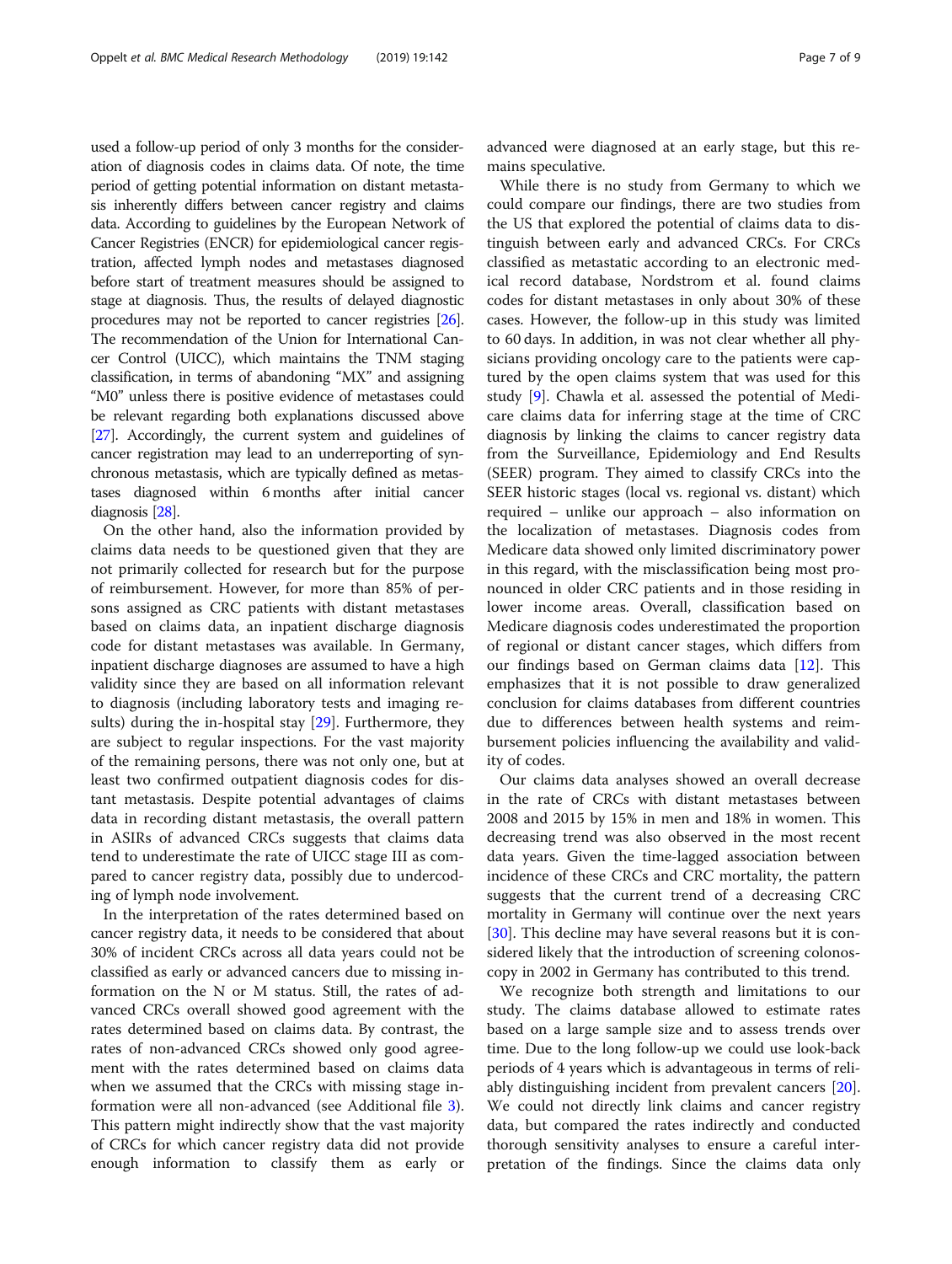used a follow-up period of only 3 months for the consideration of diagnosis codes in claims data. Of note, the time period of getting potential information on distant metastasis inherently differs between cancer registry and claims data. According to guidelines by the European Network of Cancer Registries (ENCR) for epidemiological cancer registration, affected lymph nodes and metastases diagnosed before start of treatment measures should be assigned to stage at diagnosis. Thus, the results of delayed diagnostic procedures may not be reported to cancer registries [\[26](#page-8-0)]. The recommendation of the Union for International Cancer Control (UICC), which maintains the TNM staging classification, in terms of abandoning "MX" and assigning "M0" unless there is positive evidence of metastases could be relevant regarding both explanations discussed above [[27](#page-8-0)]. Accordingly, the current system and guidelines of cancer registration may lead to an underreporting of synchronous metastasis, which are typically defined as metastases diagnosed within 6 months after initial cancer diagnosis [\[28\]](#page-8-0).

On the other hand, also the information provided by claims data needs to be questioned given that they are not primarily collected for research but for the purpose of reimbursement. However, for more than 85% of persons assigned as CRC patients with distant metastases based on claims data, an inpatient discharge diagnosis code for distant metastases was available. In Germany, inpatient discharge diagnoses are assumed to have a high validity since they are based on all information relevant to diagnosis (including laboratory tests and imaging results) during the in-hospital stay [\[29](#page-8-0)]. Furthermore, they are subject to regular inspections. For the vast majority of the remaining persons, there was not only one, but at least two confirmed outpatient diagnosis codes for distant metastasis. Despite potential advantages of claims data in recording distant metastasis, the overall pattern in ASIRs of advanced CRCs suggests that claims data tend to underestimate the rate of UICC stage III as compared to cancer registry data, possibly due to undercoding of lymph node involvement.

In the interpretation of the rates determined based on cancer registry data, it needs to be considered that about 30% of incident CRCs across all data years could not be classified as early or advanced cancers due to missing information on the N or M status. Still, the rates of advanced CRCs overall showed good agreement with the rates determined based on claims data. By contrast, the rates of non-advanced CRCs showed only good agreement with the rates determined based on claims data when we assumed that the CRCs with missing stage information were all non-advanced (see Additional file [3](#page-7-0)). This pattern might indirectly show that the vast majority of CRCs for which cancer registry data did not provide enough information to classify them as early or advanced were diagnosed at an early stage, but this remains speculative.

While there is no study from Germany to which we could compare our findings, there are two studies from the US that explored the potential of claims data to distinguish between early and advanced CRCs. For CRCs classified as metastatic according to an electronic medical record database, Nordstrom et al. found claims codes for distant metastases in only about 30% of these cases. However, the follow-up in this study was limited to 60 days. In addition, in was not clear whether all physicians providing oncology care to the patients were captured by the open claims system that was used for this study [[9\]](#page-8-0). Chawla et al. assessed the potential of Medicare claims data for inferring stage at the time of CRC diagnosis by linking the claims to cancer registry data from the Surveillance, Epidemiology and End Results (SEER) program. They aimed to classify CRCs into the SEER historic stages (local vs. regional vs. distant) which required – unlike our approach – also information on the localization of metastases. Diagnosis codes from Medicare data showed only limited discriminatory power in this regard, with the misclassification being most pronounced in older CRC patients and in those residing in lower income areas. Overall, classification based on Medicare diagnosis codes underestimated the proportion of regional or distant cancer stages, which differs from our findings based on German claims data [\[12](#page-8-0)]. This emphasizes that it is not possible to draw generalized conclusion for claims databases from different countries due to differences between health systems and reimbursement policies influencing the availability and validity of codes.

Our claims data analyses showed an overall decrease in the rate of CRCs with distant metastases between 2008 and 2015 by 15% in men and 18% in women. This decreasing trend was also observed in the most recent data years. Given the time-lagged association between incidence of these CRCs and CRC mortality, the pattern suggests that the current trend of a decreasing CRC mortality in Germany will continue over the next years [[30\]](#page-8-0). This decline may have several reasons but it is considered likely that the introduction of screening colonoscopy in 2002 in Germany has contributed to this trend.

We recognize both strength and limitations to our study. The claims database allowed to estimate rates based on a large sample size and to assess trends over time. Due to the long follow-up we could use look-back periods of 4 years which is advantageous in terms of reliably distinguishing incident from prevalent cancers [\[20](#page-8-0)]. We could not directly link claims and cancer registry data, but compared the rates indirectly and conducted thorough sensitivity analyses to ensure a careful interpretation of the findings. Since the claims data only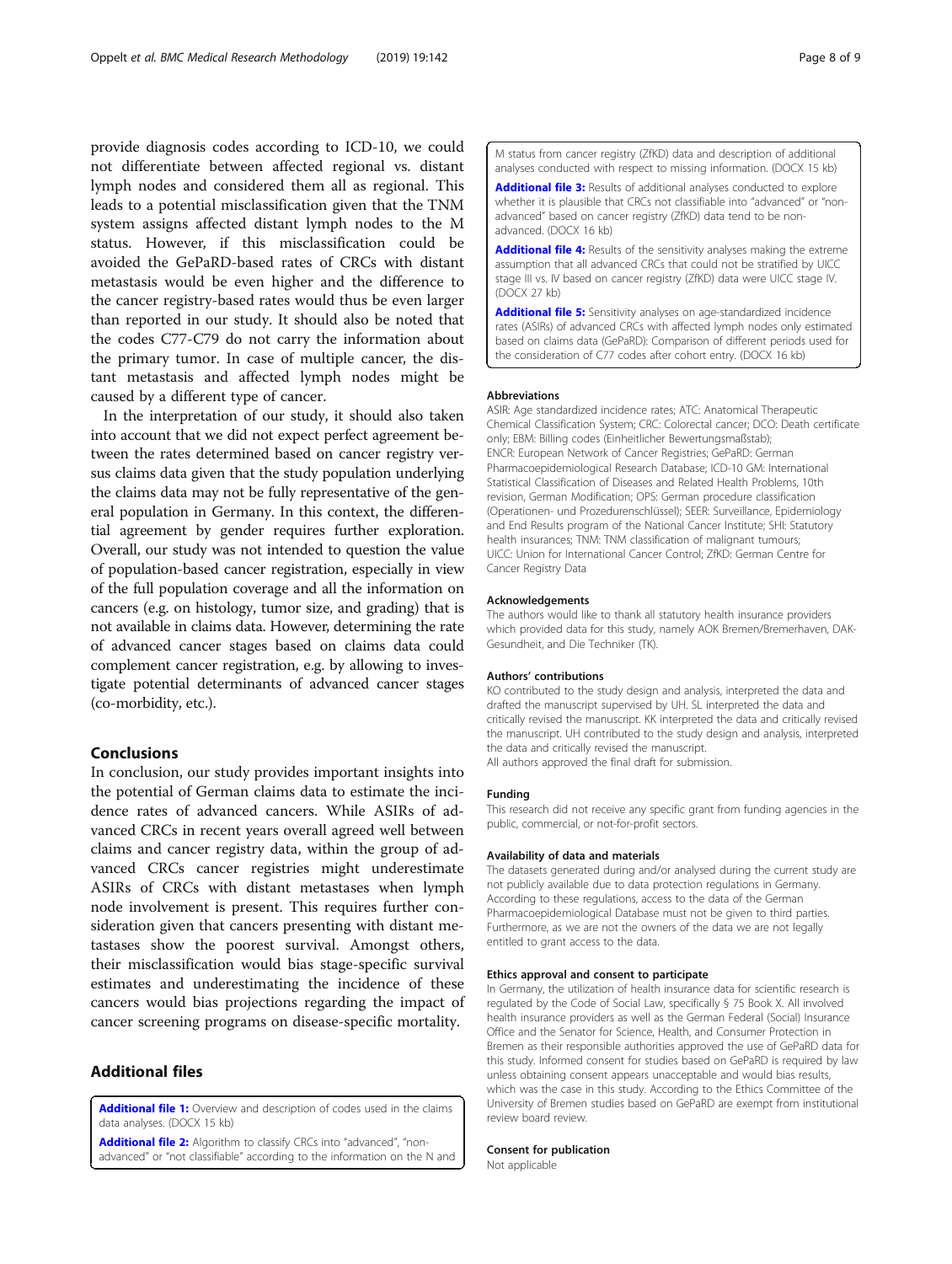<span id="page-7-0"></span>provide diagnosis codes according to ICD-10, we could not differentiate between affected regional vs. distant lymph nodes and considered them all as regional. This leads to a potential misclassification given that the TNM system assigns affected distant lymph nodes to the M status. However, if this misclassification could be avoided the GePaRD-based rates of CRCs with distant metastasis would be even higher and the difference to the cancer registry-based rates would thus be even larger than reported in our study. It should also be noted that the codes C77-C79 do not carry the information about the primary tumor. In case of multiple cancer, the distant metastasis and affected lymph nodes might be caused by a different type of cancer.

In the interpretation of our study, it should also taken into account that we did not expect perfect agreement between the rates determined based on cancer registry versus claims data given that the study population underlying the claims data may not be fully representative of the general population in Germany. In this context, the differential agreement by gender requires further exploration. Overall, our study was not intended to question the value of population-based cancer registration, especially in view of the full population coverage and all the information on cancers (e.g. on histology, tumor size, and grading) that is not available in claims data. However, determining the rate of advanced cancer stages based on claims data could complement cancer registration, e.g. by allowing to investigate potential determinants of advanced cancer stages (co-morbidity, etc.).

## Conclusions

In conclusion, our study provides important insights into the potential of German claims data to estimate the incidence rates of advanced cancers. While ASIRs of advanced CRCs in recent years overall agreed well between claims and cancer registry data, within the group of advanced CRCs cancer registries might underestimate ASIRs of CRCs with distant metastases when lymph node involvement is present. This requires further consideration given that cancers presenting with distant metastases show the poorest survival. Amongst others, their misclassification would bias stage-specific survival estimates and underestimating the incidence of these cancers would bias projections regarding the impact of cancer screening programs on disease-specific mortality.

## Additional files

[Additional file 1:](https://doi.org/10.1186/s12874-019-0784-y) Overview and description of codes used in the claims data analyses. (DOCX 15 kb)

[Additional file 2:](https://doi.org/10.1186/s12874-019-0784-y) Algorithm to classify CRCs into "advanced", "nonadvanced" or "not classifiable" according to the information on the N and M status from cancer registry (ZfKD) data and description of additional analyses conducted with respect to missing information. (DOCX 15 kb)

[Additional file 3:](https://doi.org/10.1186/s12874-019-0784-y) Results of additional analyses conducted to explore whether it is plausible that CRCs not classifiable into "advanced" or "nonadvanced" based on cancer registry (ZfKD) data tend to be nonadvanced. (DOCX 16 kb)

[Additional file 4:](https://doi.org/10.1186/s12874-019-0784-y) Results of the sensitivity analyses making the extreme assumption that all advanced CRCs that could not be stratified by UICC stage III vs. IV based on cancer registry (ZfKD) data were UICC stage IV. (DOCX 27 kb)

[Additional file 5:](https://doi.org/10.1186/s12874-019-0784-y) Sensitivity analyses on age-standardized incidence rates (ASIRs) of advanced CRCs with affected lymph nodes only estimated based on claims data (GePaRD): Comparison of different periods used for the consideration of C77 codes after cohort entry. (DOCX 16 kb)

#### Abbreviations

ASIR: Age standardized incidence rates; ATC: Anatomical Therapeutic Chemical Classification System; CRC: Colorectal cancer; DCO: Death certificate only; EBM: Billing codes (Einheitlicher Bewertungsmaßstab); ENCR: European Network of Cancer Registries; GePaRD: German Pharmacoepidemiological Research Database; ICD-10 GM: International Statistical Classification of Diseases and Related Health Problems, 10th revision, German Modification; OPS: German procedure classification (Operationen- und Prozedurenschlüssel); SEER: Surveillance, Epidemiology and End Results program of the National Cancer Institute; SHI: Statutory health insurances; TNM: TNM classification of malignant tumours; UICC: Union for International Cancer Control; ZfKD: German Centre for Cancer Registry Data

#### Acknowledgements

The authors would like to thank all statutory health insurance providers which provided data for this study, namely AOK Bremen/Bremerhaven, DAK-Gesundheit, and Die Techniker (TK).

#### Authors' contributions

KO contributed to the study design and analysis, interpreted the data and drafted the manuscript supervised by UH. SL interpreted the data and critically revised the manuscript. KK interpreted the data and critically revised the manuscript. UH contributed to the study design and analysis, interpreted the data and critically revised the manuscript. All authors approved the final draft for submission.

#### Funding

This research did not receive any specific grant from funding agencies in the public, commercial, or not-for-profit sectors.

#### Availability of data and materials

The datasets generated during and/or analysed during the current study are not publicly available due to data protection regulations in Germany. According to these regulations, access to the data of the German Pharmacoepidemiological Database must not be given to third parties. Furthermore, as we are not the owners of the data we are not legally entitled to grant access to the data.

### Ethics approval and consent to participate

In Germany, the utilization of health insurance data for scientific research is regulated by the Code of Social Law, specifically § 75 Book X. All involved health insurance providers as well as the German Federal (Social) Insurance Office and the Senator for Science, Health, and Consumer Protection in Bremen as their responsible authorities approved the use of GePaRD data for this study. Informed consent for studies based on GePaRD is required by law unless obtaining consent appears unacceptable and would bias results, which was the case in this study. According to the Ethics Committee of the University of Bremen studies based on GePaRD are exempt from institutional review board review.

## Consent for publication

Not applicable